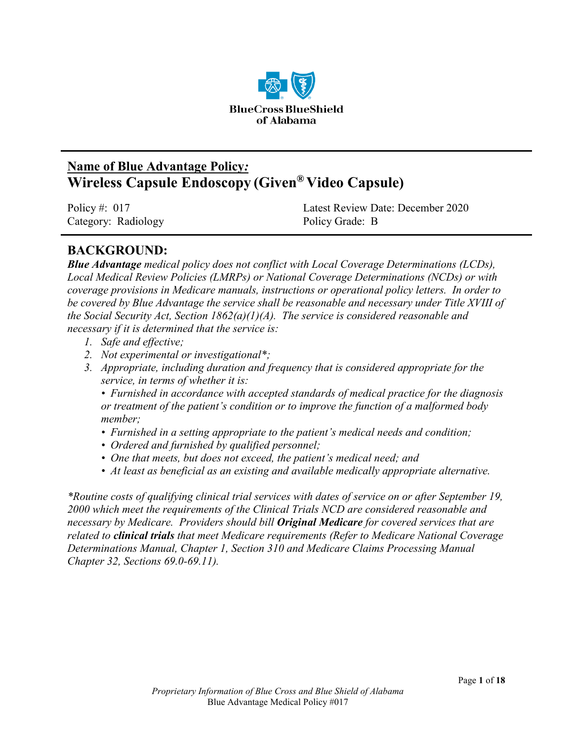

# **Name of Blue Advantage Policy***:* **Wireless Capsule Endoscopy (Given® Video Capsule)**

Category: Radiology Policy Grade: B

Policy #: 017 Latest Review Date: December 2020

## **BACKGROUND:**

*Blue Advantage medical policy does not conflict with Local Coverage Determinations (LCDs), Local Medical Review Policies (LMRPs) or National Coverage Determinations (NCDs) or with coverage provisions in Medicare manuals, instructions or operational policy letters. In order to be covered by Blue Advantage the service shall be reasonable and necessary under Title XVIII of the Social Security Act, Section 1862(a)(1)(A). The service is considered reasonable and necessary if it is determined that the service is:*

- *1. Safe and effective;*
- *2. Not experimental or investigational\*;*
- *3. Appropriate, including duration and frequency that is considered appropriate for the service, in terms of whether it is:*

*• Furnished in accordance with accepted standards of medical practice for the diagnosis or treatment of the patient's condition or to improve the function of a malformed body member;*

- *Furnished in a setting appropriate to the patient's medical needs and condition;*
- *Ordered and furnished by qualified personnel;*
- *One that meets, but does not exceed, the patient's medical need; and*
- *At least as beneficial as an existing and available medically appropriate alternative.*

*\*Routine costs of qualifying clinical trial services with dates of service on or after September 19, 2000 which meet the requirements of the Clinical Trials NCD are considered reasonable and necessary by Medicare. Providers should bill Original Medicare for covered services that are related to clinical trials that meet Medicare requirements (Refer to Medicare National Coverage Determinations Manual, Chapter 1, Section 310 and Medicare Claims Processing Manual Chapter 32, Sections 69.0-69.11).*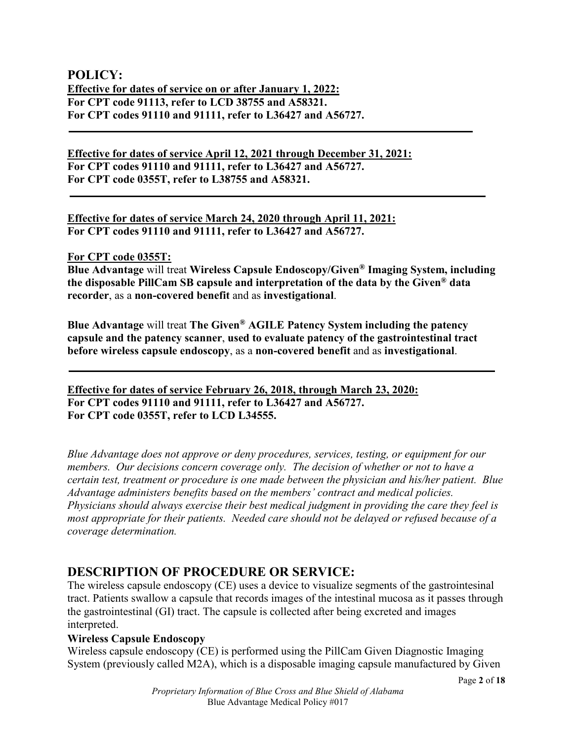### **POLICY: Effective for dates of service on or after January 1, 2022: For CPT code 91113, refer to LCD 38755 and A58321. For CPT codes 91110 and 91111, refer to L36427 and A56727.**

**Effective for dates of service April 12, 2021 through December 31, 2021: For CPT codes 91110 and 91111, refer to L36427 and A56727. For CPT code 0355T, refer to L38755 and A58321.**

**Effective for dates of service March 24, 2020 through April 11, 2021: For CPT codes 91110 and 91111, refer to L36427 and A56727.**

**For CPT code 0355T:**

**Blue Advantage** will treat **Wireless Capsule Endoscopy/Given® Imaging System, including the disposable PillCam SB capsule and interpretation of the data by the Given® data recorder**, as a **non-covered benefit** and as **investigational**.

**Blue Advantage** will treat **The Given® AGILE Patency System including the patency capsule and the patency scanner**, **used to evaluate patency of the gastrointestinal tract before wireless capsule endoscopy**, as a **non-covered benefit** and as **investigational**.

**Effective for dates of service February 26, 2018, through March 23, 2020: For CPT codes 91110 and 91111, refer to L36427 and A56727. For CPT code 0355T, refer to LCD L34555.** 

*Blue Advantage does not approve or deny procedures, services, testing, or equipment for our members. Our decisions concern coverage only. The decision of whether or not to have a certain test, treatment or procedure is one made between the physician and his/her patient. Blue Advantage administers benefits based on the members' contract and medical policies. Physicians should always exercise their best medical judgment in providing the care they feel is most appropriate for their patients. Needed care should not be delayed or refused because of a coverage determination.*

## **DESCRIPTION OF PROCEDURE OR SERVICE:**

The wireless capsule endoscopy (CE) uses a device to visualize segments of the gastrointesinal tract. Patients swallow a capsule that records images of the intestinal mucosa as it passes through the gastrointestinal (GI) tract. The capsule is collected after being excreted and images interpreted.

### **Wireless Capsule Endoscopy**

Wireless capsule endoscopy (CE) is performed using the PillCam Given Diagnostic Imaging System (previously called M2A), which is a disposable imaging capsule manufactured by Given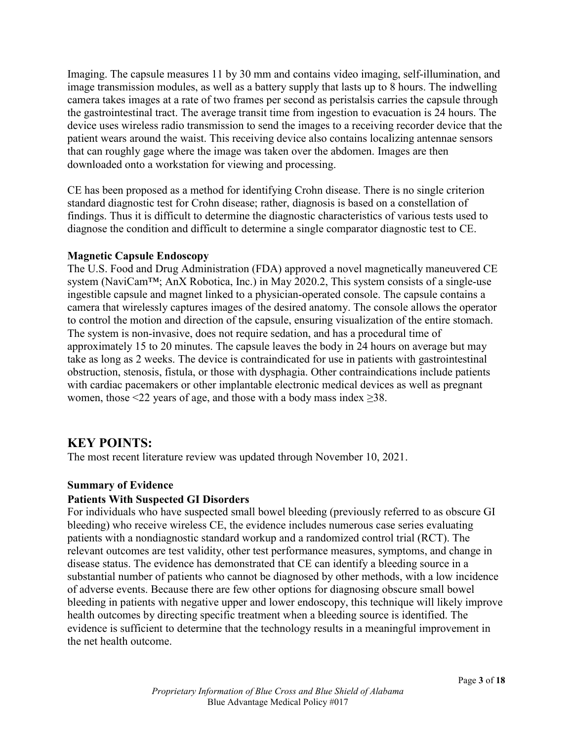Imaging. The capsule measures 11 by 30 mm and contains video imaging, self-illumination, and image transmission modules, as well as a battery supply that lasts up to 8 hours. The indwelling camera takes images at a rate of two frames per second as peristalsis carries the capsule through the gastrointestinal tract. The average transit time from ingestion to evacuation is 24 hours. The device uses wireless radio transmission to send the images to a receiving recorder device that the patient wears around the waist. This receiving device also contains localizing antennae sensors that can roughly gage where the image was taken over the abdomen. Images are then downloaded onto a workstation for viewing and processing.

CE has been proposed as a method for identifying Crohn disease. There is no single criterion standard diagnostic test for Crohn disease; rather, diagnosis is based on a constellation of findings. Thus it is difficult to determine the diagnostic characteristics of various tests used to diagnose the condition and difficult to determine a single comparator diagnostic test to CE.

#### **Magnetic Capsule Endoscopy**

The U.S. Food and Drug Administration (FDA) approved a novel magnetically maneuvered CE system (NaviCam™; AnX Robotica, Inc.) in May 2020.2, This system consists of a single-use ingestible capsule and magnet linked to a physician-operated console. The capsule contains a camera that wirelessly captures images of the desired anatomy. The console allows the operator to control the motion and direction of the capsule, ensuring visualization of the entire stomach. The system is non-invasive, does not require sedation, and has a procedural time of approximately 15 to 20 minutes. The capsule leaves the body in 24 hours on average but may take as long as 2 weeks. The device is contraindicated for use in patients with gastrointestinal obstruction, stenosis, fistula, or those with dysphagia. Other contraindications include patients with cardiac pacemakers or other implantable electronic medical devices as well as pregnant women, those  $\leq 22$  years of age, and those with a body mass index  $\geq 38$ .

### **KEY POINTS:**

The most recent literature review was updated through November 10, 2021.

#### **Summary of Evidence**

#### **Patients With Suspected GI Disorders**

For individuals who have suspected small bowel bleeding (previously referred to as obscure GI bleeding) who receive wireless CE, the evidence includes numerous case series evaluating patients with a nondiagnostic standard workup and a randomized control trial (RCT). The relevant outcomes are test validity, other test performance measures, symptoms, and change in disease status. The evidence has demonstrated that CE can identify a bleeding source in a substantial number of patients who cannot be diagnosed by other methods, with a low incidence of adverse events. Because there are few other options for diagnosing obscure small bowel bleeding in patients with negative upper and lower endoscopy, this technique will likely improve health outcomes by directing specific treatment when a bleeding source is identified. The evidence is sufficient to determine that the technology results in a meaningful improvement in the net health outcome.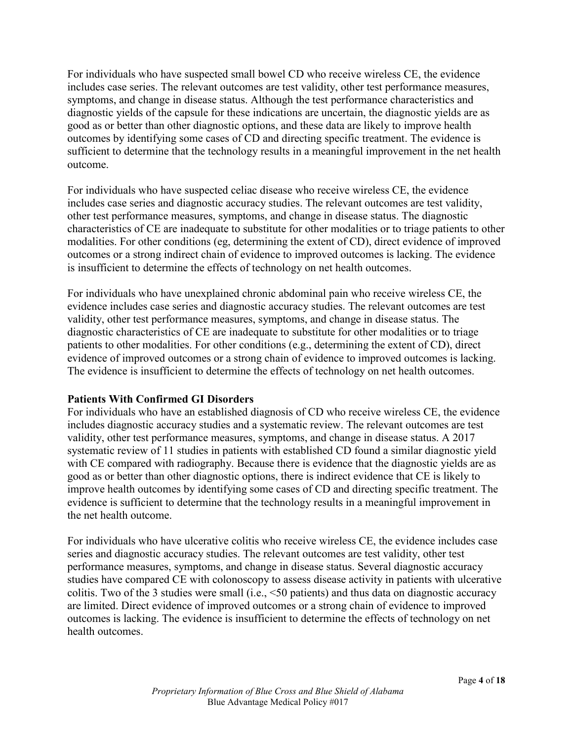For individuals who have suspected small bowel CD who receive wireless CE, the evidence includes case series. The relevant outcomes are test validity, other test performance measures, symptoms, and change in disease status. Although the test performance characteristics and diagnostic yields of the capsule for these indications are uncertain, the diagnostic yields are as good as or better than other diagnostic options, and these data are likely to improve health outcomes by identifying some cases of CD and directing specific treatment. The evidence is sufficient to determine that the technology results in a meaningful improvement in the net health outcome.

For individuals who have suspected celiac disease who receive wireless CE, the evidence includes case series and diagnostic accuracy studies. The relevant outcomes are test validity, other test performance measures, symptoms, and change in disease status. The diagnostic characteristics of CE are inadequate to substitute for other modalities or to triage patients to other modalities. For other conditions (eg, determining the extent of CD), direct evidence of improved outcomes or a strong indirect chain of evidence to improved outcomes is lacking. The evidence is insufficient to determine the effects of technology on net health outcomes.

For individuals who have unexplained chronic abdominal pain who receive wireless CE, the evidence includes case series and diagnostic accuracy studies. The relevant outcomes are test validity, other test performance measures, symptoms, and change in disease status. The diagnostic characteristics of CE are inadequate to substitute for other modalities or to triage patients to other modalities. For other conditions (e.g., determining the extent of CD), direct evidence of improved outcomes or a strong chain of evidence to improved outcomes is lacking. The evidence is insufficient to determine the effects of technology on net health outcomes.

### **Patients With Confirmed GI Disorders**

For individuals who have an established diagnosis of CD who receive wireless CE, the evidence includes diagnostic accuracy studies and a systematic review. The relevant outcomes are test validity, other test performance measures, symptoms, and change in disease status. A 2017 systematic review of 11 studies in patients with established CD found a similar diagnostic yield with CE compared with radiography. Because there is evidence that the diagnostic yields are as good as or better than other diagnostic options, there is indirect evidence that CE is likely to improve health outcomes by identifying some cases of CD and directing specific treatment. The evidence is sufficient to determine that the technology results in a meaningful improvement in the net health outcome.

For individuals who have ulcerative colitis who receive wireless CE, the evidence includes case series and diagnostic accuracy studies. The relevant outcomes are test validity, other test performance measures, symptoms, and change in disease status. Several diagnostic accuracy studies have compared CE with colonoscopy to assess disease activity in patients with ulcerative colitis. Two of the 3 studies were small (i.e., <50 patients) and thus data on diagnostic accuracy are limited. Direct evidence of improved outcomes or a strong chain of evidence to improved outcomes is lacking. The evidence is insufficient to determine the effects of technology on net health outcomes.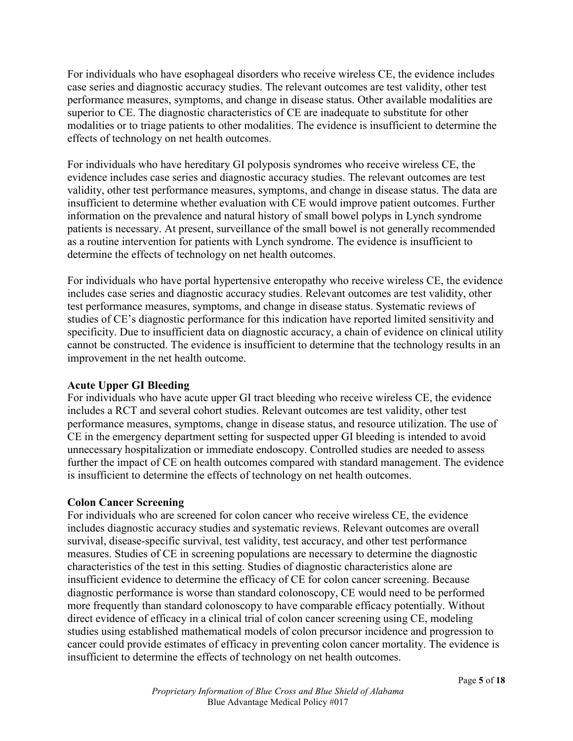For individuals who have esophageal disorders who receive wireless CE, the evidence includes case series and diagnostic accuracy studies. The relevant outcomes are test validity, other test performance measures, symptoms, and change in disease status. Other available modalities are superior to CE. The diagnostic characteristics of CE are inadequate to substitute for other modalities or to triage patients to other modalities. The evidence is insufficient to determine the effects of technology on net health outcomes.

For individuals who have hereditary GI polyposis syndromes who receive wireless CE, the evidence includes case series and diagnostic accuracy studies. The relevant outcomes are test validity, other test performance measures, symptoms, and change in disease status. The data are insufficient to determine whether evaluation with CE would improve patient outcomes. Further information on the prevalence and natural history of small bowel polyps in Lynch syndrome patients is necessary. At present, surveillance of the small bowel is not generally recommended as a routine intervention for patients with Lynch syndrome. The evidence is insufficient to determine the effects of technology on net health outcomes.

For individuals who have portal hypertensive enteropathy who receive wireless CE, the evidence includes case series and diagnostic accuracy studies. Relevant outcomes are test validity, other test performance measures, symptoms, and change in disease status. Systematic reviews of studies of CE's diagnostic performance for this indication have reported limited sensitivity and specificity. Due to insufficient data on diagnostic accuracy, a chain of evidence on clinical utility cannot be constructed. The evidence is insufficient to determine that the technology results in an improvement in the net health outcome.

#### **Acute Upper GI Bleeding**

For individuals who have acute upper GI tract bleeding who receive wireless CE, the evidence includes a RCT and several cohort studies. Relevant outcomes are test validity, other test performance measures, symptoms, change in disease status, and resource utilization. The use of CE in the emergency department setting for suspected upper GI bleeding is intended to avoid unnecessary hospitalization or immediate endoscopy. Controlled studies are needed to assess further the impact of CE on health outcomes compared with standard management. The evidence is insufficient to determine the effects of technology on net health outcomes.

### **Colon Cancer Screening**

For individuals who are screened for colon cancer who receive wireless CE, the evidence includes diagnostic accuracy studies and systematic reviews. Relevant outcomes are overall survival, disease-specific survival, test validity, test accuracy, and other test performance measures. Studies of CE in screening populations are necessary to determine the diagnostic characteristics of the test in this setting. Studies of diagnostic characteristics alone are insufficient evidence to determine the efficacy of CE for colon cancer screening. Because diagnostic performance is worse than standard colonoscopy, CE would need to be performed more frequently than standard colonoscopy to have comparable efficacy potentially. Without direct evidence of efficacy in a clinical trial of colon cancer screening using CE, modeling studies using established mathematical models of colon precursor incidence and progression to cancer could provide estimates of efficacy in preventing colon cancer mortality. The evidence is insufficient to determine the effects of technology on net health outcomes.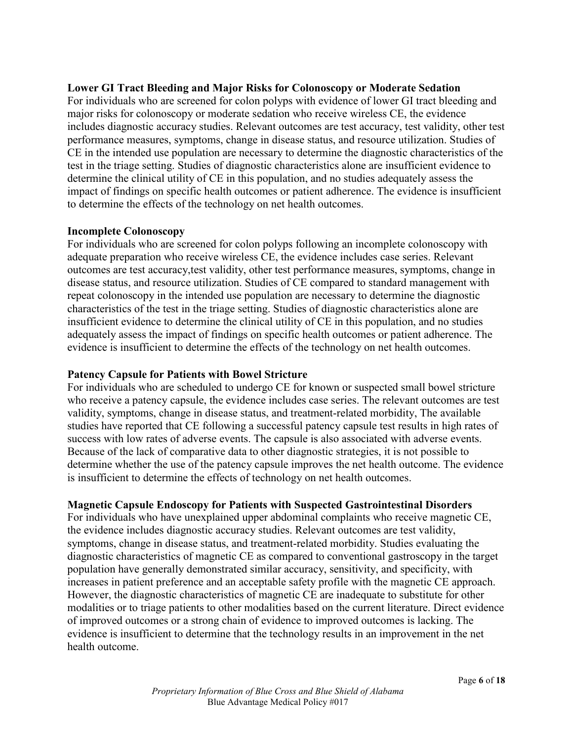#### **Lower GI Tract Bleeding and Major Risks for Colonoscopy or Moderate Sedation**

For individuals who are screened for colon polyps with evidence of lower GI tract bleeding and major risks for colonoscopy or moderate sedation who receive wireless CE, the evidence includes diagnostic accuracy studies. Relevant outcomes are test accuracy, test validity, other test performance measures, symptoms, change in disease status, and resource utilization. Studies of CE in the intended use population are necessary to determine the diagnostic characteristics of the test in the triage setting. Studies of diagnostic characteristics alone are insufficient evidence to determine the clinical utility of CE in this population, and no studies adequately assess the impact of findings on specific health outcomes or patient adherence. The evidence is insufficient to determine the effects of the technology on net health outcomes.

#### **Incomplete Colonoscopy**

For individuals who are screened for colon polyps following an incomplete colonoscopy with adequate preparation who receive wireless CE, the evidence includes case series. Relevant outcomes are test accuracy,test validity, other test performance measures, symptoms, change in disease status, and resource utilization. Studies of CE compared to standard management with repeat colonoscopy in the intended use population are necessary to determine the diagnostic characteristics of the test in the triage setting. Studies of diagnostic characteristics alone are insufficient evidence to determine the clinical utility of CE in this population, and no studies adequately assess the impact of findings on specific health outcomes or patient adherence. The evidence is insufficient to determine the effects of the technology on net health outcomes.

#### **Patency Capsule for Patients with Bowel Stricture**

For individuals who are scheduled to undergo CE for known or suspected small bowel stricture who receive a patency capsule, the evidence includes case series. The relevant outcomes are test validity, symptoms, change in disease status, and treatment-related morbidity, The available studies have reported that CE following a successful patency capsule test results in high rates of success with low rates of adverse events. The capsule is also associated with adverse events. Because of the lack of comparative data to other diagnostic strategies, it is not possible to determine whether the use of the patency capsule improves the net health outcome. The evidence is insufficient to determine the effects of technology on net health outcomes.

#### **Magnetic Capsule Endoscopy for Patients with Suspected Gastrointestinal Disorders**

For individuals who have unexplained upper abdominal complaints who receive magnetic CE, the evidence includes diagnostic accuracy studies. Relevant outcomes are test validity, symptoms, change in disease status, and treatment-related morbidity. Studies evaluating the diagnostic characteristics of magnetic CE as compared to conventional gastroscopy in the target population have generally demonstrated similar accuracy, sensitivity, and specificity, with increases in patient preference and an acceptable safety profile with the magnetic CE approach. However, the diagnostic characteristics of magnetic CE are inadequate to substitute for other modalities or to triage patients to other modalities based on the current literature. Direct evidence of improved outcomes or a strong chain of evidence to improved outcomes is lacking. The evidence is insufficient to determine that the technology results in an improvement in the net health outcome.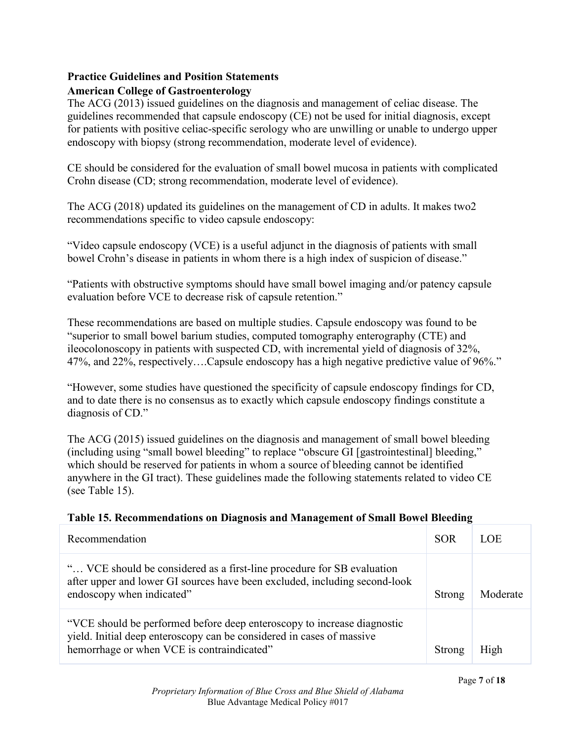### **Practice Guidelines and Position Statements American College of Gastroenterology**

The ACG (2013) issued guidelines on the diagnosis and management of celiac disease. The guidelines recommended that capsule endoscopy (CE) not be used for initial diagnosis, except for patients with positive celiac-specific serology who are unwilling or unable to undergo upper endoscopy with biopsy (strong recommendation, moderate level of evidence).

CE should be considered for the evaluation of small bowel mucosa in patients with complicated Crohn disease (CD; strong recommendation, moderate level of evidence).

The ACG (2018) updated its guidelines on the management of CD in adults. It makes two2 recommendations specific to video capsule endoscopy:

"Video capsule endoscopy (VCE) is a useful adjunct in the diagnosis of patients with small bowel Crohn's disease in patients in whom there is a high index of suspicion of disease."

"Patients with obstructive symptoms should have small bowel imaging and/or patency capsule evaluation before VCE to decrease risk of capsule retention."

These recommendations are based on multiple studies. Capsule endoscopy was found to be "superior to small bowel barium studies, computed tomography enterography (CTE) and ileocolonoscopy in patients with suspected CD, with incremental yield of diagnosis of 32%, 47%, and 22%, respectively….Capsule endoscopy has a high negative predictive value of 96%."

"However, some studies have questioned the specificity of capsule endoscopy findings for CD, and to date there is no consensus as to exactly which capsule endoscopy findings constitute a diagnosis of CD."

The ACG (2015) issued guidelines on the diagnosis and management of small bowel bleeding (including using "small bowel bleeding" to replace "obscure GI [gastrointestinal] bleeding," which should be reserved for patients in whom a source of bleeding cannot be identified anywhere in the GI tract). These guidelines made the following statements related to video CE (see Table 15).

| Table 15. Recommendations on Diagnosis and Management of Sman Bowel Bleeding |            |            |
|------------------------------------------------------------------------------|------------|------------|
| Recommendation                                                               | <b>SOR</b> | <b>LOE</b> |
| " VCE should be considered as a first-line procedure for SB evaluation       |            |            |

## **Table 15. Recommendations on Diagnosis and Management of Small Bowel Bleeding**

| " VCE should be considered as a first-line procedure for SB evaluation<br>after upper and lower GI sources have been excluded, including second-look<br>endoscopy when indicated" | Strong | Moderate |
|-----------------------------------------------------------------------------------------------------------------------------------------------------------------------------------|--------|----------|
| "VCE should be performed before deep enteroscony to increase diagnostic                                                                                                           |        |          |

erformed before deep enteroscopy to increase yield. Initial deep enteroscopy can be considered in cases of massive hemorrhage or when VCE is contraindicated" Strong | High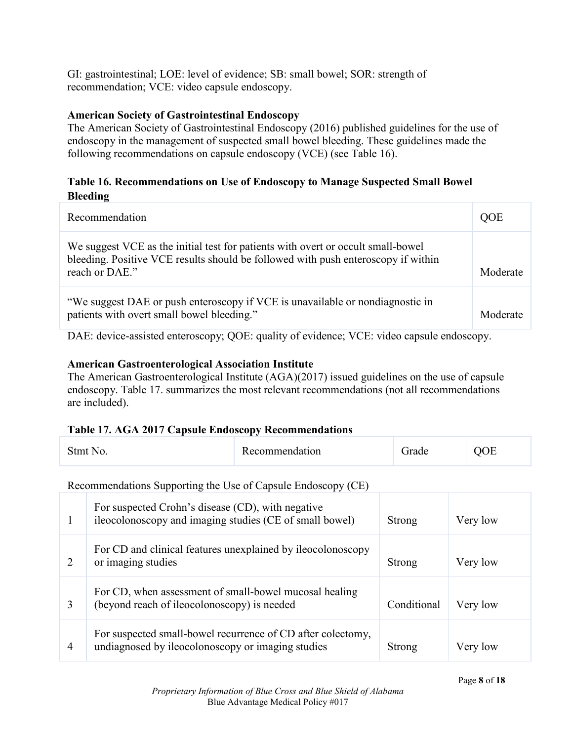GI: gastrointestinal; LOE: level of evidence; SB: small bowel; SOR: strength of recommendation; VCE: video capsule endoscopy.

### **American Society of Gastrointestinal Endoscopy**

The American Society of Gastrointestinal Endoscopy (2016) published guidelines for the use of endoscopy in the management of suspected small bowel bleeding. These guidelines made the following recommendations on capsule endoscopy (VCE) (see Table 16).

### **Table 16. Recommendations on Use of Endoscopy to Manage Suspected Small Bowel Bleeding**

| Recommendation                                                                                                                                                                          | OOE      |
|-----------------------------------------------------------------------------------------------------------------------------------------------------------------------------------------|----------|
| We suggest VCE as the initial test for patients with overt or occult small-bowel<br>bleeding. Positive VCE results should be followed with push enteroscopy if within<br>reach or DAE." | Moderate |
| "We suggest DAE or push enteroscopy if VCE is unavailable or nondiagnostic in<br>patients with overt small bowel bleeding."                                                             | Moderate |

DAE: device-assisted enteroscopy; QOE: quality of evidence; VCE: video capsule endoscopy.

### **American Gastroenterological Association Institute**

The American Gastroenterological Institute (AGA)(2017) issued guidelines on the use of capsule endoscopy. Table 17. summarizes the most relevant recommendations (not all recommendations are included).

#### **Table 17. AGA 2017 Capsule Endoscopy Recommendations**

| Stmt No. | Recommendation | $T_{rad}$ | $\mathbf{M}$<br>) H |
|----------|----------------|-----------|---------------------|
|          |                |           |                     |

Recommendations Supporting the Use of Capsule Endoscopy (CE)

|   | For suspected Crohn's disease (CD), with negative<br>ileocolonoscopy and imaging studies (CE of small bowel)     | Strong      | Very low |
|---|------------------------------------------------------------------------------------------------------------------|-------------|----------|
| 2 | For CD and clinical features unexplained by ileocolonoscopy<br>or imaging studies                                | Strong      | Very low |
| 3 | For CD, when assessment of small-bowel mucosal healing<br>(beyond reach of ileocolonoscopy) is needed            | Conditional | Very low |
| 4 | For suspected small-bowel recurrence of CD after colectomy,<br>undiagnosed by ileocolonoscopy or imaging studies | Strong      | Very low |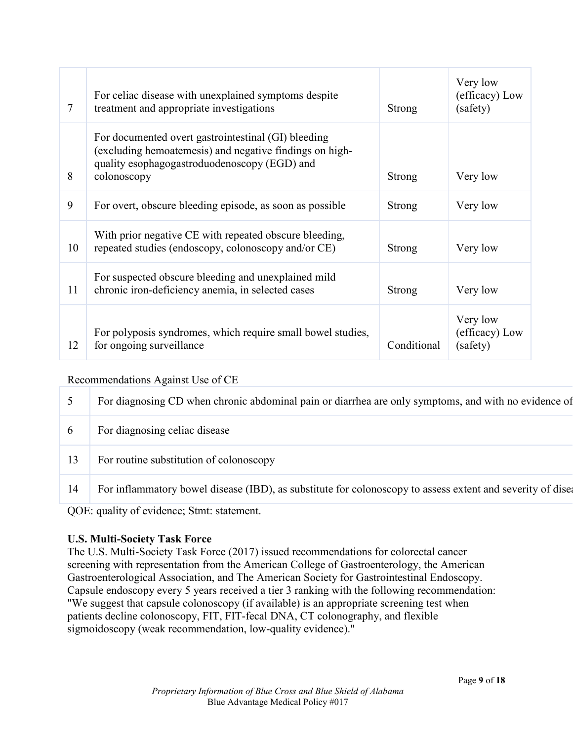| 7  | For celiac disease with unexplained symptoms despite<br>treatment and appropriate investigations                                                                              | Strong        | Very low<br>(efficacy) Low<br>(safety) |
|----|-------------------------------------------------------------------------------------------------------------------------------------------------------------------------------|---------------|----------------------------------------|
| 8  | For documented overt gastrointestinal (GI) bleeding<br>(excluding hemoatemesis) and negative findings on high-<br>quality esophagogastroduodenoscopy (EGD) and<br>colonoscopy | <b>Strong</b> | Very low                               |
| 9  | For overt, obscure bleeding episode, as soon as possible                                                                                                                      | Strong        | Very low                               |
| 10 | With prior negative CE with repeated obscure bleeding,<br>repeated studies (endoscopy, colonoscopy and/or CE)                                                                 | Strong        | Very low                               |
| 11 | For suspected obscure bleeding and unexplained mild<br>chronic iron-deficiency anemia, in selected cases                                                                      | <b>Strong</b> | Very low                               |
| 12 | For polyposis syndromes, which require small bowel studies,<br>for ongoing surveillance                                                                                       | Conditional   | Very low<br>(efficacy) Low<br>(safety) |

#### Recommendations Against Use of CE

|          | For diagnosing CD when chronic abdominal pain or diarrhea are only symptoms, and with no evidence of       |
|----------|------------------------------------------------------------------------------------------------------------|
| $\theta$ | For diagnosing celiac disease                                                                              |
| 13       | For routine substitution of colonoscopy                                                                    |
| 14       | For inflammatory bowel disease (IBD), as substitute for colonoscopy to assess extent and severity of disea |

QOE: quality of evidence; Stmt: statement.

#### **U.S. Multi-Society Task Force**

The U.S. Multi-Society Task Force (2017) issued recommendations for colorectal cancer screening with representation from the American College of Gastroenterology, the American Gastroenterological Association, and The American Society for Gastrointestinal Endoscopy. Capsule endoscopy every 5 years received a tier 3 ranking with the following recommendation: "We suggest that capsule colonoscopy (if available) is an appropriate screening test when patients decline colonoscopy, FIT, FIT-fecal DNA, CT colonography, and flexible sigmoidoscopy (weak recommendation, low-quality evidence)."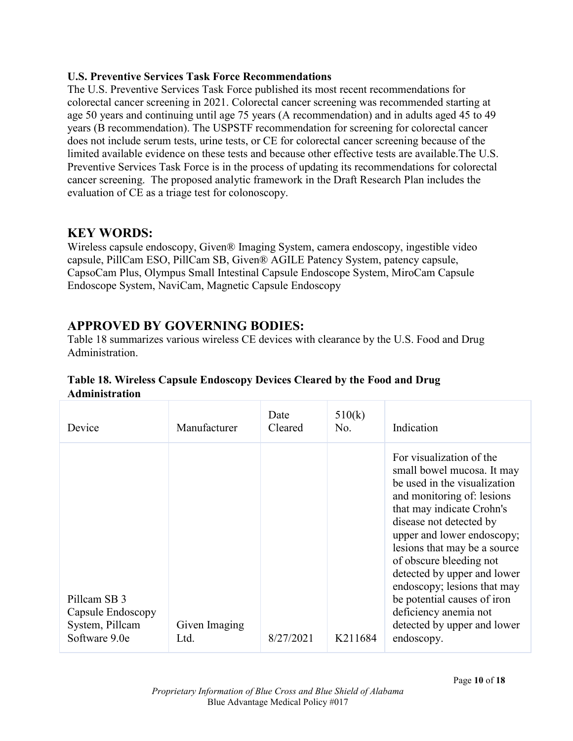### **U.S. Preventive Services Task Force Recommendations**

The U.S. Preventive Services Task Force published its most recent recommendations for colorectal cancer screening in 2021. Colorectal cancer screening was recommended starting at age 50 years and continuing until age 75 years (A recommendation) and in adults aged 45 to 49 years (B recommendation). The USPSTF recommendation for screening for colorectal cancer does not include serum tests, urine tests, or CE for colorectal cancer screening because of the limited available evidence on these tests and because other effective tests are available.The U.S. Preventive Services Task Force is in the process of updating its recommendations for colorectal cancer screening. The proposed analytic framework in the Draft Research Plan includes the evaluation of CE as a triage test for colonoscopy.

## **KEY WORDS:**

Wireless capsule endoscopy, Given® Imaging System, camera endoscopy, ingestible video capsule, PillCam ESO, PillCam SB, Given® AGILE Patency System, patency capsule, CapsoCam Plus, Olympus Small Intestinal Capsule Endoscope System, MiroCam Capsule Endoscope System, NaviCam, Magnetic Capsule Endoscopy

## **APPROVED BY GOVERNING BODIES:**

Table 18 summarizes various wireless CE devices with clearance by the U.S. Food and Drug Administration.

| Device                                                                | Manufacturer          | Date<br>Cleared | 510(k)<br>No. | Indication                                                                                                                                                                                                                                                                                                                                                                                                                               |
|-----------------------------------------------------------------------|-----------------------|-----------------|---------------|------------------------------------------------------------------------------------------------------------------------------------------------------------------------------------------------------------------------------------------------------------------------------------------------------------------------------------------------------------------------------------------------------------------------------------------|
| Pillcam SB 3<br>Capsule Endoscopy<br>System, Pillcam<br>Software 9.0e | Given Imaging<br>Ltd. | 8/27/2021       | K211684       | For visualization of the<br>small bowel mucosa. It may<br>be used in the visualization<br>and monitoring of: lesions<br>that may indicate Crohn's<br>disease not detected by<br>upper and lower endoscopy;<br>lesions that may be a source<br>of obscure bleeding not<br>detected by upper and lower<br>endoscopy; lesions that may<br>be potential causes of iron<br>deficiency anemia not<br>detected by upper and lower<br>endoscopy. |

## **Table 18. Wireless Capsule Endoscopy Devices Cleared by the Food and Drug Administration**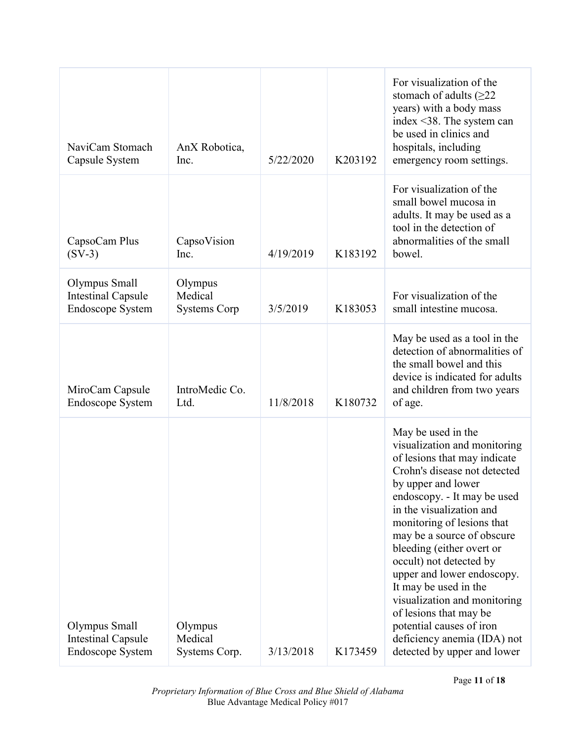| NaviCam Stomach<br>Capsule System                              | AnX Robotica,<br>Inc.                     | 5/22/2020 | K203192 | For visualization of the<br>stomach of adults $(\geq 22)$<br>years) with a body mass<br>index <38. The system can<br>be used in clinics and<br>hospitals, including<br>emergency room settings.                                                                                                                                                                                                                                                                                                                                    |
|----------------------------------------------------------------|-------------------------------------------|-----------|---------|------------------------------------------------------------------------------------------------------------------------------------------------------------------------------------------------------------------------------------------------------------------------------------------------------------------------------------------------------------------------------------------------------------------------------------------------------------------------------------------------------------------------------------|
| CapsoCam Plus<br>$(SV-3)$                                      | CapsoVision<br>Inc.                       | 4/19/2019 | K183192 | For visualization of the<br>small bowel mucosa in<br>adults. It may be used as a<br>tool in the detection of<br>abnormalities of the small<br>bowel.                                                                                                                                                                                                                                                                                                                                                                               |
| Olympus Small<br><b>Intestinal Capsule</b><br>Endoscope System | Olympus<br>Medical<br><b>Systems Corp</b> | 3/5/2019  | K183053 | For visualization of the<br>small intestine mucosa.                                                                                                                                                                                                                                                                                                                                                                                                                                                                                |
| MiroCam Capsule<br><b>Endoscope System</b>                     | IntroMedic Co.<br>Ltd.                    | 11/8/2018 | K180732 | May be used as a tool in the<br>detection of abnormalities of<br>the small bowel and this<br>device is indicated for adults<br>and children from two years<br>of age.                                                                                                                                                                                                                                                                                                                                                              |
| Olympus Small<br><b>Intestinal Capsule</b><br>Endoscope System | Olympus<br>Medical<br>Systems Corp.       | 3/13/2018 | K173459 | May be used in the<br>visualization and monitoring<br>of lesions that may indicate<br>Crohn's disease not detected<br>by upper and lower<br>endoscopy. - It may be used<br>in the visualization and<br>monitoring of lesions that<br>may be a source of obscure<br>bleeding (either overt or<br>occult) not detected by<br>upper and lower endoscopy.<br>It may be used in the<br>visualization and monitoring<br>of lesions that may be<br>potential causes of iron<br>deficiency anemia (IDA) not<br>detected by upper and lower |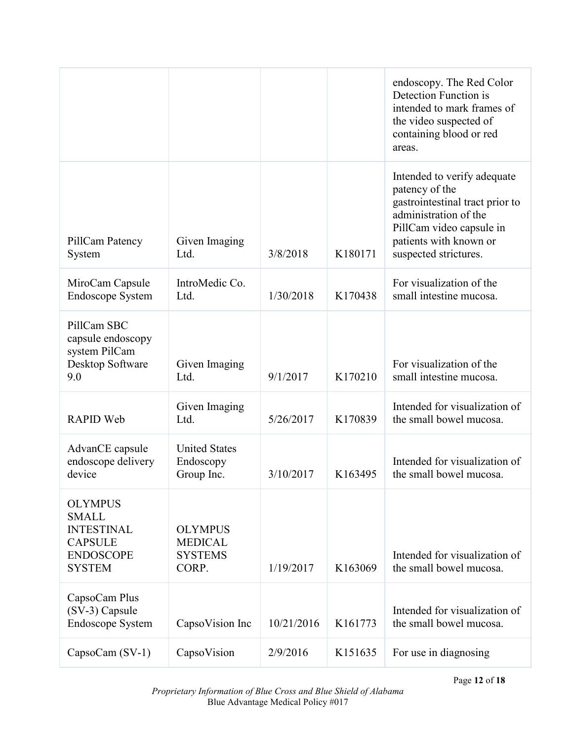|                                                                                                            |                                                             |            |         | endoscopy. The Red Color<br>Detection Function is<br>intended to mark frames of<br>the video suspected of<br>containing blood or red<br>areas.                                           |
|------------------------------------------------------------------------------------------------------------|-------------------------------------------------------------|------------|---------|------------------------------------------------------------------------------------------------------------------------------------------------------------------------------------------|
| PillCam Patency<br>System                                                                                  | Given Imaging<br>Ltd.                                       | 3/8/2018   | K180171 | Intended to verify adequate<br>patency of the<br>gastrointestinal tract prior to<br>administration of the<br>PillCam video capsule in<br>patients with known or<br>suspected strictures. |
| MiroCam Capsule<br><b>Endoscope System</b>                                                                 | IntroMedic Co.<br>Ltd.                                      | 1/30/2018  | K170438 | For visualization of the<br>small intestine mucosa.                                                                                                                                      |
| PillCam SBC<br>capsule endoscopy<br>system PilCam<br>Desktop Software<br>9.0                               | Given Imaging<br>Ltd.                                       | 9/1/2017   | K170210 | For visualization of the<br>small intestine mucosa.                                                                                                                                      |
| <b>RAPID Web</b>                                                                                           | Given Imaging<br>Ltd.                                       | 5/26/2017  | K170839 | Intended for visualization of<br>the small bowel mucosa.                                                                                                                                 |
| AdvanCE capsule<br>endoscope delivery<br>device                                                            | <b>United States</b><br>Endoscopy<br>Group Inc.             | 3/10/2017  | K163495 | Intended for visualization of<br>the small bowel mucosa.                                                                                                                                 |
| <b>OLYMPUS</b><br><b>SMALL</b><br><b>INTESTINAL</b><br><b>CAPSULE</b><br><b>ENDOSCOPE</b><br><b>SYSTEM</b> | <b>OLYMPUS</b><br><b>MEDICAL</b><br><b>SYSTEMS</b><br>CORP. | 1/19/2017  | K163069 | Intended for visualization of<br>the small bowel mucosa.                                                                                                                                 |
| CapsoCam Plus<br>(SV-3) Capsule<br><b>Endoscope System</b>                                                 | CapsoVision Inc                                             | 10/21/2016 | K161773 | Intended for visualization of<br>the small bowel mucosa.                                                                                                                                 |
| CapsoCam (SV-1)                                                                                            | CapsoVision                                                 | 2/9/2016   | K151635 | For use in diagnosing                                                                                                                                                                    |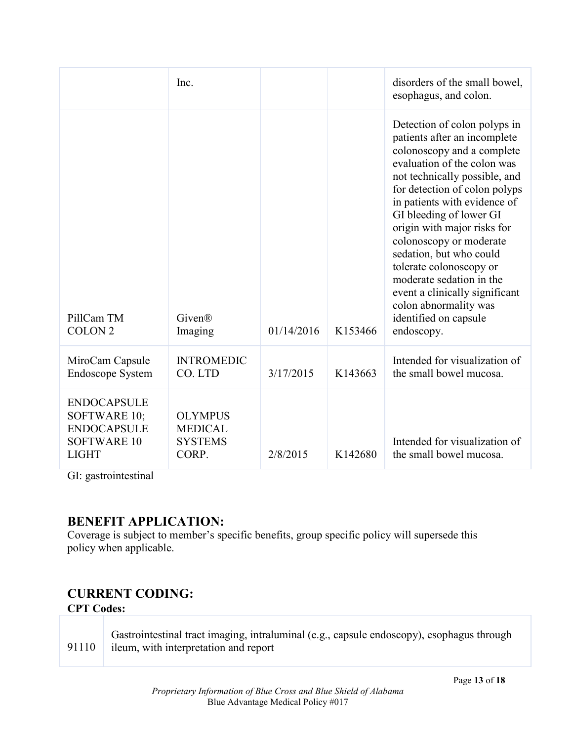|                                                                                                | Inc.                                                        |            |         | disorders of the small bowel,<br>esophagus, and colon.                                                                                                                                                                                                                                                                                                                                                                                                                                               |
|------------------------------------------------------------------------------------------------|-------------------------------------------------------------|------------|---------|------------------------------------------------------------------------------------------------------------------------------------------------------------------------------------------------------------------------------------------------------------------------------------------------------------------------------------------------------------------------------------------------------------------------------------------------------------------------------------------------------|
| PillCam TM<br><b>COLON 2</b>                                                                   | Given®<br>Imaging                                           | 01/14/2016 | K153466 | Detection of colon polyps in<br>patients after an incomplete<br>colonoscopy and a complete<br>evaluation of the colon was<br>not technically possible, and<br>for detection of colon polyps<br>in patients with evidence of<br>GI bleeding of lower GI<br>origin with major risks for<br>colonoscopy or moderate<br>sedation, but who could<br>tolerate colonoscopy or<br>moderate sedation in the<br>event a clinically significant<br>colon abnormality was<br>identified on capsule<br>endoscopy. |
| MiroCam Capsule<br><b>Endoscope System</b>                                                     | <b>INTROMEDIC</b><br>CO. LTD                                | 3/17/2015  | K143663 | Intended for visualization of<br>the small bowel mucosa.                                                                                                                                                                                                                                                                                                                                                                                                                                             |
| <b>ENDOCAPSULE</b><br>SOFTWARE 10;<br><b>ENDOCAPSULE</b><br><b>SOFTWARE 10</b><br><b>LIGHT</b> | <b>OLYMPUS</b><br><b>MEDICAL</b><br><b>SYSTEMS</b><br>CORP. | 2/8/2015   | K142680 | Intended for visualization of<br>the small bowel mucosa.                                                                                                                                                                                                                                                                                                                                                                                                                                             |

GI: gastrointestinal

## **BENEFIT APPLICATION:**

Coverage is subject to member's specific benefits, group specific policy will supersede this policy when applicable.

# **CURRENT CODING:**

## **CPT Codes:**

|       | Gastrointestinal tract imaging, intraluminal (e.g., capsule endoscopy), esophagus through |
|-------|-------------------------------------------------------------------------------------------|
| 91110 | ileum, with interpretation and report                                                     |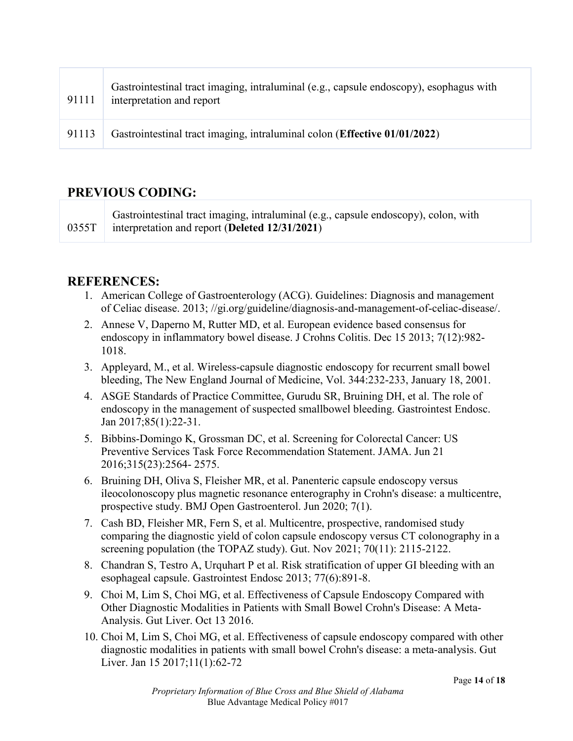| 91111 | Gastrointestinal tract imaging, intraluminal (e.g., capsule endoscopy), esophagus with<br>interpretation and report |
|-------|---------------------------------------------------------------------------------------------------------------------|
| 91113 | Gastrointestinal tract imaging, intraluminal colon (Effective 01/01/2022)                                           |

## **PREVIOUS CODING:**

0355T Gastrointestinal tract imaging, intraluminal (e.g., capsule endoscopy), colon, with interpretation and report (**Deleted 12/31/2021**)

## **REFERENCES:**

- 1. American College of Gastroenterology (ACG). Guidelines: Diagnosis and management of Celiac disease. 2013; //gi.org/guideline/diagnosis-and-management-of-celiac-disease/.
- 2. Annese V, Daperno M, Rutter MD, et al. European evidence based consensus for endoscopy in inflammatory bowel disease. J Crohns Colitis. Dec 15 2013; 7(12):982- 1018.
- 3. Appleyard, M., et al. Wireless-capsule diagnostic endoscopy for recurrent small bowel bleeding, The New England Journal of Medicine, Vol. 344:232-233, January 18, 2001.
- 4. ASGE Standards of Practice Committee, Gurudu SR, Bruining DH, et al. The role of endoscopy in the management of suspected smallbowel bleeding. Gastrointest Endosc. Jan 2017;85(1):22-31.
- 5. Bibbins-Domingo K, Grossman DC, et al. Screening for Colorectal Cancer: US Preventive Services Task Force Recommendation Statement. JAMA. Jun 21 2016;315(23):2564- 2575.
- 6. Bruining DH, Oliva S, Fleisher MR, et al. Panenteric capsule endoscopy versus ileocolonoscopy plus magnetic resonance enterography in Crohn's disease: a multicentre, prospective study. BMJ Open Gastroenterol. Jun 2020; 7(1).
- 7. Cash BD, Fleisher MR, Fern S, et al. Multicentre, prospective, randomised study comparing the diagnostic yield of colon capsule endoscopy versus CT colonography in a screening population (the TOPAZ study). Gut. Nov 2021; 70(11): 2115-2122.
- 8. Chandran S, Testro A, Urquhart P et al. Risk stratification of upper GI bleeding with an esophageal capsule. Gastrointest Endosc 2013; 77(6):891-8.
- 9. Choi M, Lim S, Choi MG, et al. Effectiveness of Capsule Endoscopy Compared with Other Diagnostic Modalities in Patients with Small Bowel Crohn's Disease: A Meta-Analysis. Gut Liver. Oct 13 2016.
- 10. Choi M, Lim S, Choi MG, et al. Effectiveness of capsule endoscopy compared with other diagnostic modalities in patients with small bowel Crohn's disease: a meta-analysis. Gut Liver. Jan 15 2017;11(1):62-72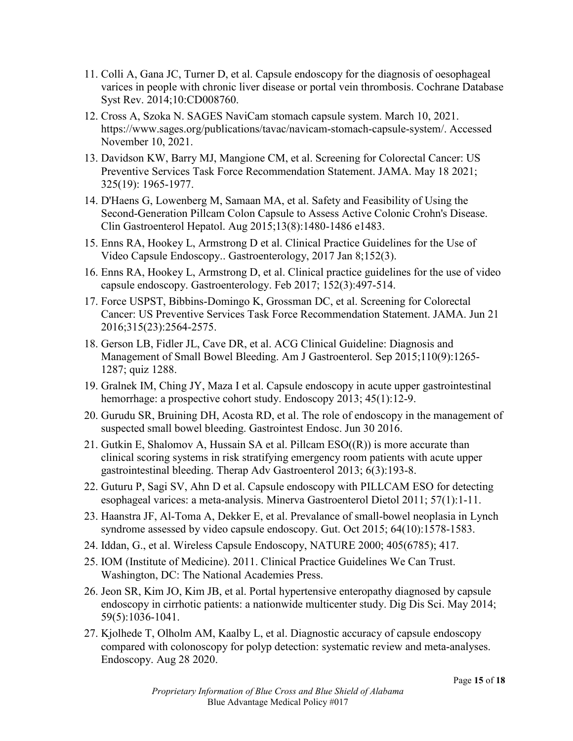- 11. Colli A, Gana JC, Turner D, et al. Capsule endoscopy for the diagnosis of oesophageal varices in people with chronic liver disease or portal vein thrombosis. Cochrane Database Syst Rev. 2014;10:CD008760.
- 12. Cross A, Szoka N. SAGES NaviCam stomach capsule system. March 10, 2021. https://www.sages.org/publications/tavac/navicam-stomach-capsule-system/. Accessed November 10, 2021.
- 13. Davidson KW, Barry MJ, Mangione CM, et al. Screening for Colorectal Cancer: US Preventive Services Task Force Recommendation Statement. JAMA. May 18 2021; 325(19): 1965-1977.
- 14. D'Haens G, Lowenberg M, Samaan MA, et al. Safety and Feasibility of Using the Second-Generation Pillcam Colon Capsule to Assess Active Colonic Crohn's Disease. Clin Gastroenterol Hepatol. Aug 2015;13(8):1480-1486 e1483.
- 15. Enns RA, Hookey L, Armstrong D et al. Clinical Practice Guidelines for the Use of Video Capsule Endoscopy.. Gastroenterology, 2017 Jan 8;152(3).
- 16. Enns RA, Hookey L, Armstrong D, et al. Clinical practice guidelines for the use of video capsule endoscopy. Gastroenterology. Feb 2017; 152(3):497-514.
- 17. Force USPST, Bibbins-Domingo K, Grossman DC, et al. Screening for Colorectal Cancer: US Preventive Services Task Force Recommendation Statement. JAMA. Jun 21 2016;315(23):2564-2575.
- 18. Gerson LB, Fidler JL, Cave DR, et al. ACG Clinical Guideline: Diagnosis and Management of Small Bowel Bleeding. Am J Gastroenterol. Sep 2015;110(9):1265- 1287; quiz 1288.
- 19. Gralnek IM, Ching JY, Maza I et al. Capsule endoscopy in acute upper gastrointestinal hemorrhage: a prospective cohort study. Endoscopy 2013; 45(1):12-9.
- 20. Gurudu SR, Bruining DH, Acosta RD, et al. The role of endoscopy in the management of suspected small bowel bleeding. Gastrointest Endosc. Jun 30 2016.
- 21. Gutkin E, Shalomov A, Hussain SA et al. Pillcam  $ESO(\mathbb{R})$  is more accurate than clinical scoring systems in risk stratifying emergency room patients with acute upper gastrointestinal bleeding. Therap Adv Gastroenterol 2013; 6(3):193-8.
- 22. Guturu P, Sagi SV, Ahn D et al. Capsule endoscopy with PILLCAM ESO for detecting esophageal varices: a meta-analysis. Minerva Gastroenterol Dietol 2011; 57(1):1-11.
- 23. Haanstra JF, Al-Toma A, Dekker E, et al. Prevalance of small-bowel neoplasia in Lynch syndrome assessed by video capsule endoscopy. Gut. Oct 2015; 64(10):1578-1583.
- 24. Iddan, G., et al. Wireless Capsule Endoscopy, NATURE 2000; 405(6785); 417.
- 25. IOM (Institute of Medicine). 2011. Clinical Practice Guidelines We Can Trust. Washington, DC: The National Academies Press.
- 26. Jeon SR, Kim JO, Kim JB, et al. Portal hypertensive enteropathy diagnosed by capsule endoscopy in cirrhotic patients: a nationwide multicenter study. Dig Dis Sci. May 2014; 59(5):1036-1041.
- 27. Kjolhede T, Olholm AM, Kaalby L, et al. Diagnostic accuracy of capsule endoscopy compared with colonoscopy for polyp detection: systematic review and meta-analyses. Endoscopy. Aug 28 2020.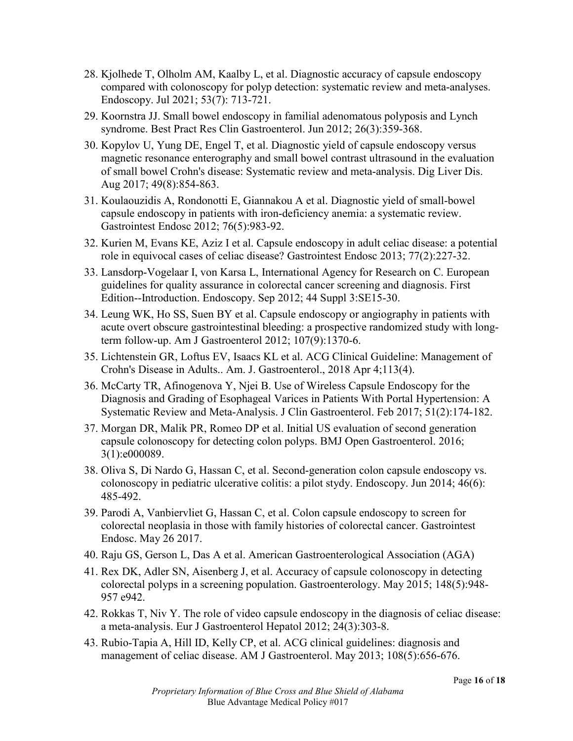- 28. Kjolhede T, Olholm AM, Kaalby L, et al. Diagnostic accuracy of capsule endoscopy compared with colonoscopy for polyp detection: systematic review and meta-analyses. Endoscopy. Jul 2021; 53(7): 713-721.
- 29. Koornstra JJ. Small bowel endoscopy in familial adenomatous polyposis and Lynch syndrome. Best Pract Res Clin Gastroenterol. Jun 2012; 26(3):359-368.
- 30. Kopylov U, Yung DE, Engel T, et al. Diagnostic yield of capsule endoscopy versus magnetic resonance enterography and small bowel contrast ultrasound in the evaluation of small bowel Crohn's disease: Systematic review and meta-analysis. Dig Liver Dis. Aug 2017; 49(8):854-863.
- 31. Koulaouzidis A, Rondonotti E, Giannakou A et al. Diagnostic yield of small-bowel capsule endoscopy in patients with iron-deficiency anemia: a systematic review. Gastrointest Endosc 2012; 76(5):983-92.
- 32. Kurien M, Evans KE, Aziz I et al. Capsule endoscopy in adult celiac disease: a potential role in equivocal cases of celiac disease? Gastrointest Endosc 2013; 77(2):227-32.
- 33. Lansdorp-Vogelaar I, von Karsa L, International Agency for Research on C. European guidelines for quality assurance in colorectal cancer screening and diagnosis. First Edition--Introduction. Endoscopy. Sep 2012; 44 Suppl 3:SE15-30.
- 34. Leung WK, Ho SS, Suen BY et al. Capsule endoscopy or angiography in patients with acute overt obscure gastrointestinal bleeding: a prospective randomized study with longterm follow-up. Am J Gastroenterol 2012; 107(9):1370-6.
- 35. Lichtenstein GR, Loftus EV, Isaacs KL et al. ACG Clinical Guideline: Management of Crohn's Disease in Adults.. Am. J. Gastroenterol., 2018 Apr 4;113(4).
- 36. McCarty TR, Afinogenova Y, Njei B. Use of Wireless Capsule Endoscopy for the Diagnosis and Grading of Esophageal Varices in Patients With Portal Hypertension: A Systematic Review and Meta-Analysis. J Clin Gastroenterol. Feb 2017; 51(2):174-182.
- 37. Morgan DR, Malik PR, Romeo DP et al. Initial US evaluation of second generation capsule colonoscopy for detecting colon polyps. BMJ Open Gastroenterol. 2016; 3(1):e000089.
- 38. Oliva S, Di Nardo G, Hassan C, et al. Second-generation colon capsule endoscopy vs. colonoscopy in pediatric ulcerative colitis: a pilot stydy. Endoscopy. Jun 2014; 46(6): 485-492.
- 39. Parodi A, Vanbiervliet G, Hassan C, et al. Colon capsule endoscopy to screen for colorectal neoplasia in those with family histories of colorectal cancer. Gastrointest Endosc. May 26 2017.
- 40. Raju GS, Gerson L, Das A et al. American Gastroenterological Association (AGA)
- 41. Rex DK, Adler SN, Aisenberg J, et al. Accuracy of capsule colonoscopy in detecting colorectal polyps in a screening population. Gastroenterology. May 2015; 148(5):948- 957 e942.
- 42. Rokkas T, Niv Y. The role of video capsule endoscopy in the diagnosis of celiac disease: a meta-analysis. Eur J Gastroenterol Hepatol 2012; 24(3):303-8.
- 43. Rubio-Tapia A, Hill ID, Kelly CP, et al. ACG clinical guidelines: diagnosis and management of celiac disease. AM J Gastroenterol. May 2013; 108(5):656-676.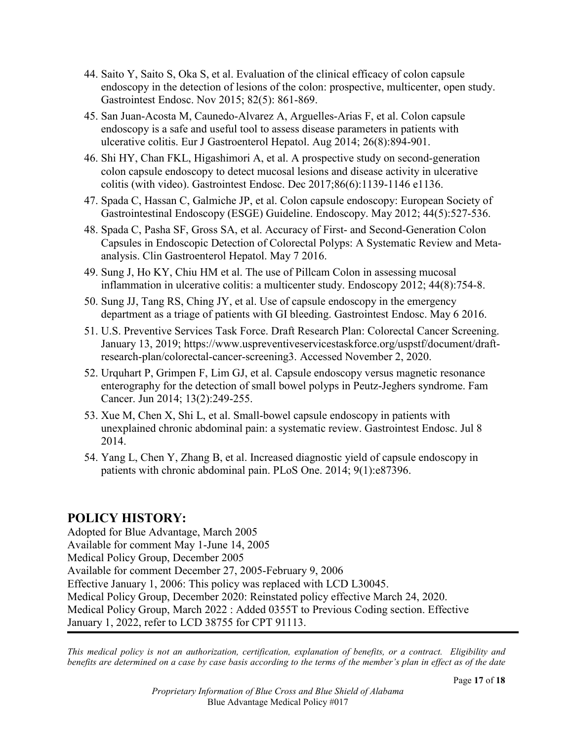- 44. Saito Y, Saito S, Oka S, et al. Evaluation of the clinical efficacy of colon capsule endoscopy in the detection of lesions of the colon: prospective, multicenter, open study. Gastrointest Endosc. Nov 2015; 82(5): 861-869.
- 45. San Juan-Acosta M, Caunedo-Alvarez A, Arguelles-Arias F, et al. Colon capsule endoscopy is a safe and useful tool to assess disease parameters in patients with ulcerative colitis. Eur J Gastroenterol Hepatol. Aug 2014; 26(8):894-901.
- 46. Shi HY, Chan FKL, Higashimori A, et al. A prospective study on second-generation colon capsule endoscopy to detect mucosal lesions and disease activity in ulcerative colitis (with video). Gastrointest Endosc. Dec 2017;86(6):1139-1146 e1136.
- 47. Spada C, Hassan C, Galmiche JP, et al. Colon capsule endoscopy: European Society of Gastrointestinal Endoscopy (ESGE) Guideline. Endoscopy. May 2012; 44(5):527-536.
- 48. Spada C, Pasha SF, Gross SA, et al. Accuracy of First- and Second-Generation Colon Capsules in Endoscopic Detection of Colorectal Polyps: A Systematic Review and Metaanalysis. Clin Gastroenterol Hepatol. May 7 2016.
- 49. Sung J, Ho KY, Chiu HM et al. The use of Pillcam Colon in assessing mucosal inflammation in ulcerative colitis: a multicenter study. Endoscopy 2012; 44(8):754-8.
- 50. Sung JJ, Tang RS, Ching JY, et al. Use of capsule endoscopy in the emergency department as a triage of patients with GI bleeding. Gastrointest Endosc. May 6 2016.
- 51. U.S. Preventive Services Task Force. Draft Research Plan: Colorectal Cancer Screening. January 13, 2019; https://www.uspreventiveservicestaskforce.org/uspstf/document/draftresearch-plan/colorectal-cancer-screening3. Accessed November 2, 2020.
- 52. Urquhart P, Grimpen F, Lim GJ, et al. Capsule endoscopy versus magnetic resonance enterography for the detection of small bowel polyps in Peutz-Jeghers syndrome. Fam Cancer. Jun 2014; 13(2):249-255.
- 53. Xue M, Chen X, Shi L, et al. Small-bowel capsule endoscopy in patients with unexplained chronic abdominal pain: a systematic review. Gastrointest Endosc. Jul 8 2014.
- 54. Yang L, Chen Y, Zhang B, et al. Increased diagnostic yield of capsule endoscopy in patients with chronic abdominal pain. PLoS One. 2014; 9(1):e87396.

## **POLICY HISTORY:**

Adopted for Blue Advantage, March 2005 Available for comment May 1-June 14, 2005 Medical Policy Group, December 2005 Available for comment December 27, 2005-February 9, 2006 Effective January 1, 2006: This policy was replaced with LCD L30045. Medical Policy Group, December 2020: Reinstated policy effective March 24, 2020. Medical Policy Group, March 2022 : Added 0355T to Previous Coding section. Effective January 1, 2022, refer to LCD 38755 for CPT 91113.

*This medical policy is not an authorization, certification, explanation of benefits, or a contract. Eligibility and benefits are determined on a case by case basis according to the terms of the member's plan in effect as of the date*